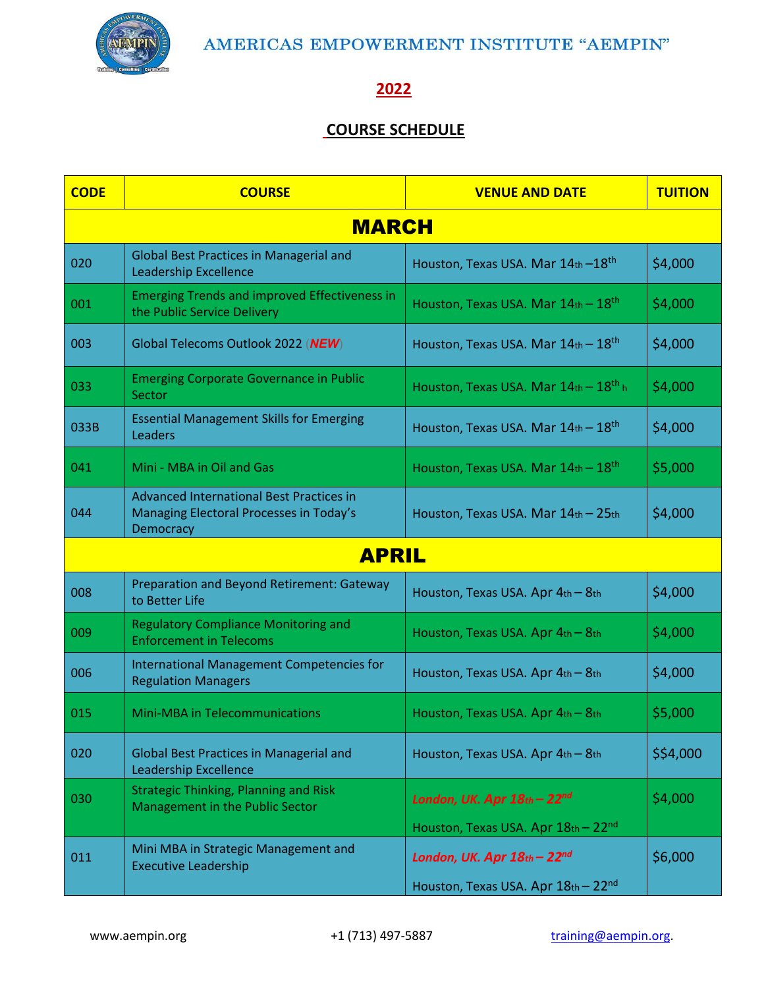

## **2022**

## **COURSE SCHEDULE**

| <b>CODE</b>  | <b>COURSE</b>                                                                                           | <b>VENUE AND DATE</b>                                  | <b>TUITION</b> |
|--------------|---------------------------------------------------------------------------------------------------------|--------------------------------------------------------|----------------|
|              | <b>MARCH</b>                                                                                            |                                                        |                |
| 020          | <b>Global Best Practices in Managerial and</b><br><b>Leadership Excellence</b>                          | Houston, Texas USA. Mar 14th - 18 <sup>th</sup>        | \$4,000        |
| 001          | <b>Emerging Trends and improved Effectiveness in</b><br>the Public Service Delivery                     | Houston, Texas USA. Mar $14$ th - $18$ <sup>th</sup>   | \$4,000        |
| 003          | Global Telecoms Outlook 2022 (NEW)                                                                      | Houston, Texas USA. Mar $14th - 18th$                  | \$4,000        |
| 033          | <b>Emerging Corporate Governance in Public</b><br>Sector                                                | Houston, Texas USA. Mar $14$ th - $18$ <sup>th</sup> h | \$4,000        |
| 033B         | <b>Essential Management Skills for Emerging</b><br>Leaders                                              | Houston, Texas USA. Mar 14th - 18 <sup>th</sup>        | \$4,000        |
| 041          | Mini - MBA in Oil and Gas                                                                               | Houston, Texas USA. Mar $14$ th – $18$ <sup>th</sup>   | \$5,000        |
| 044          | <b>Advanced International Best Practices in</b><br>Managing Electoral Processes in Today's<br>Democracy | Houston, Texas USA. Mar 14th - 25th                    | \$4,000        |
| <b>APRIL</b> |                                                                                                         |                                                        |                |
| 008          | Preparation and Beyond Retirement: Gateway<br>to Better Life                                            | Houston, Texas USA. Apr 4th - 8th                      | \$4,000        |
| 009          | <b>Regulatory Compliance Monitoring and</b><br><b>Enforcement in Telecoms</b>                           | Houston, Texas USA. Apr 4th - 8th                      | \$4,000        |
| 006          | International Management Competencies for<br><b>Regulation Managers</b>                                 | Houston, Texas USA. Apr 4th - 8th                      | \$4,000        |
| 015          | Mini-MBA in Telecommunications                                                                          | Houston, Texas USA. Apr 4th - 8th                      | \$5,000        |
| 020          | <b>Global Best Practices in Managerial and</b><br><b>Leadership Excellence</b>                          | Houston, Texas USA. Apr 4th - 8th                      | \$\$4,000      |
| 030          | <b>Strategic Thinking, Planning and Risk</b><br>Management in the Public Sector                         | London, UK. Apr 18th - 22nd                            | \$4,000        |
|              |                                                                                                         | Houston, Texas USA. Apr 18th - 22nd                    |                |
| 011          | Mini MBA in Strategic Management and<br><b>Executive Leadership</b>                                     | London, UK. Apr $18th - 22nd$                          | \$6,000        |
|              |                                                                                                         | Houston, Texas USA. Apr 18th - 22nd                    |                |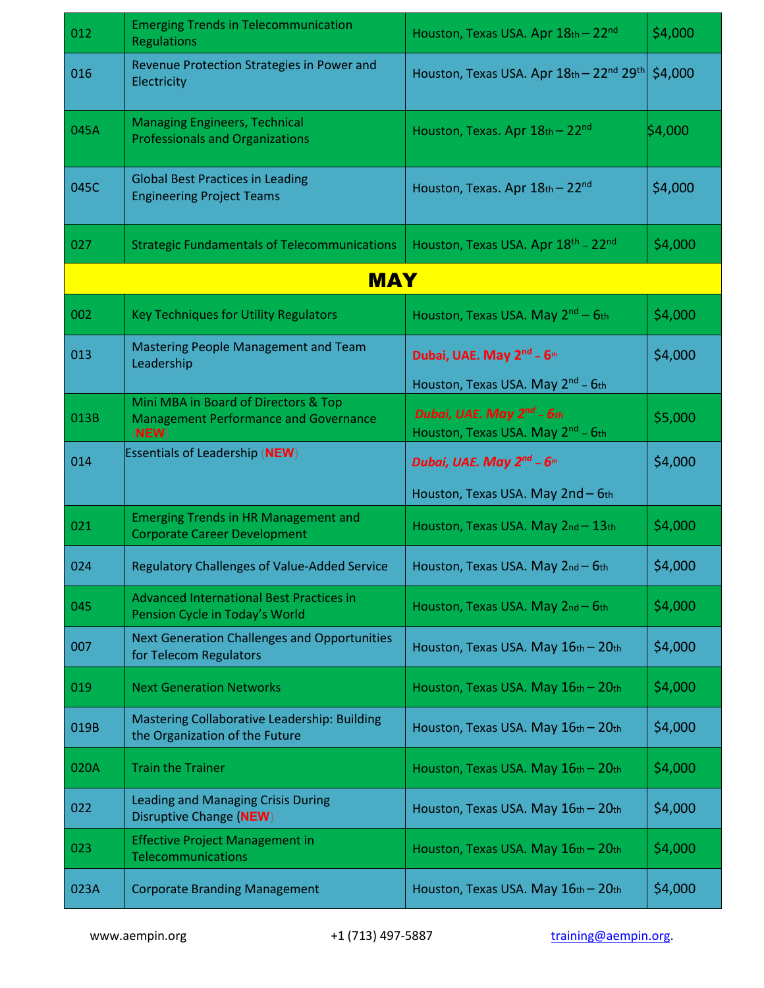| 012  | <b>Emerging Trends in Telecommunication</b><br><b>Regulations</b>                             | Houston, Texas USA. Apr 18th - 22nd                                                                                                     | \$4,000 |
|------|-----------------------------------------------------------------------------------------------|-----------------------------------------------------------------------------------------------------------------------------------------|---------|
| 016  | Revenue Protection Strategies in Power and<br>Electricity                                     | Houston, Texas USA. Apr 18th - 22nd 29th                                                                                                | \$4,000 |
| 045A | <b>Managing Engineers, Technical</b><br><b>Professionals and Organizations</b>                | Houston, Texas. Apr 18th - 22nd                                                                                                         | \$4,000 |
| 045C | <b>Global Best Practices in Leading</b><br><b>Engineering Project Teams</b>                   | Houston, Texas. Apr $18th - 22nd$                                                                                                       | \$4,000 |
| 027  | <b>Strategic Fundamentals of Telecommunications</b>                                           | Houston, Texas USA. Apr 18 <sup>th</sup> - 22 <sup>nd</sup>                                                                             | \$4,000 |
|      | <b>MAY</b>                                                                                    |                                                                                                                                         |         |
| 002  | <b>Key Techniques for Utility Regulators</b>                                                  | Houston, Texas USA. May 2 <sup>nd</sup> – 6th                                                                                           | \$4,000 |
| 013  | Mastering People Management and Team<br>Leadership                                            | Dubai, UAE. May 2nd - 6th                                                                                                               | \$4,000 |
| 013B | Mini MBA in Board of Directors & Top<br><b>Management Performance and Governance</b><br>(NEW) | Houston, Texas USA. May 2 <sup>nd</sup> - 6th<br>Dubai, UAE. May 2 <sup>nd</sup> - 6th<br>Houston, Texas USA. May 2 <sup>nd</sup> - 6th | \$5,000 |
| 014  | <b>Essentials of Leadership (NEW)</b>                                                         | Dubai, UAE. May 2 <sup>nd</sup> - 6 <sup>th</sup>                                                                                       | \$4,000 |
|      |                                                                                               | Houston, Texas USA. May 2nd - 6th                                                                                                       |         |
| 021  | <b>Emerging Trends in HR Management and</b><br><b>Corporate Career Development</b>            | Houston, Texas USA. May 2nd - 13th                                                                                                      | \$4,000 |
| 024  | <b>Regulatory Challenges of Value-Added Service</b>                                           | Houston, Texas USA. May 2nd - 6th                                                                                                       | \$4,000 |
| 045  | <b>Advanced International Best Practices in</b><br>Pension Cycle in Today's World             | Houston, Texas USA. May 2nd - 6th                                                                                                       | \$4,000 |
| 007  | <b>Next Generation Challenges and Opportunities</b><br>for Telecom Regulators                 | Houston, Texas USA. May 16th - 20th                                                                                                     | \$4,000 |
| 019  | <b>Next Generation Networks</b>                                                               | Houston, Texas USA. May 16th - 20th                                                                                                     | \$4,000 |
| 019B | Mastering Collaborative Leadership: Building<br>the Organization of the Future                | Houston, Texas USA. May 16th - 20th                                                                                                     | \$4,000 |
| 020A | <b>Train the Trainer</b>                                                                      | Houston, Texas USA. May 16th - 20th                                                                                                     | \$4,000 |
| 022  | <b>Leading and Managing Crisis During</b><br>Disruptive Change (NEW)                          | Houston, Texas USA. May 16th - 20th                                                                                                     | \$4,000 |
| 023  | <b>Effective Project Management in</b><br>Telecommunications                                  | Houston, Texas USA. May 16th - 20th                                                                                                     | \$4,000 |
| 023A | <b>Corporate Branding Management</b>                                                          | Houston, Texas USA. May 16th - 20th                                                                                                     | \$4,000 |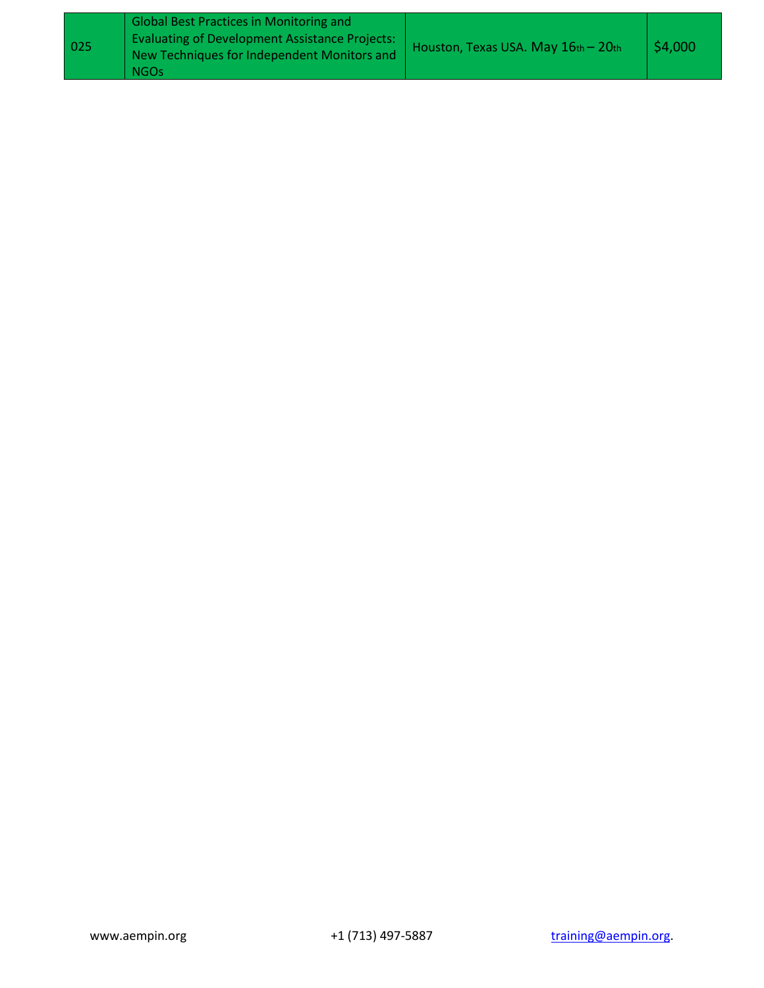| 025 | <b>Global Best Practices in Monitoring and</b><br><b>Evaluating of Development Assistance Projects:</b><br>New Techniques for Independent Monitors and<br><b>NGOs</b> | Houston, Texas USA. May 16th - 20th | \$4,000 |  |
|-----|-----------------------------------------------------------------------------------------------------------------------------------------------------------------------|-------------------------------------|---------|--|
|-----|-----------------------------------------------------------------------------------------------------------------------------------------------------------------------|-------------------------------------|---------|--|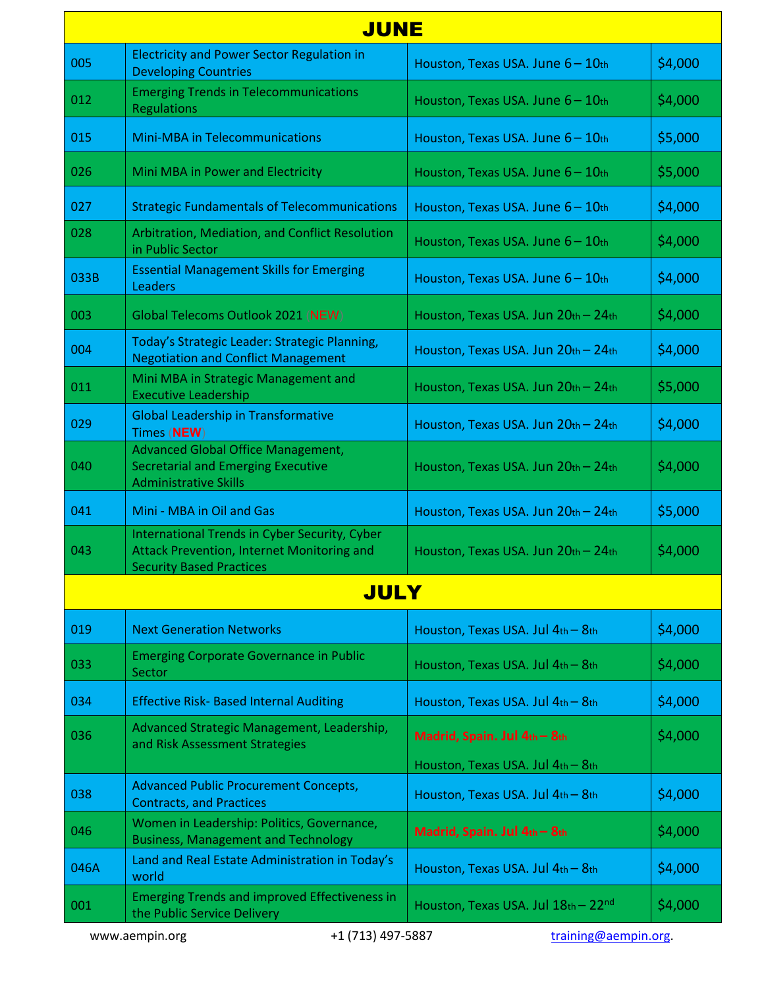|      | <b>JUNE</b>                                                                                                                    |                                       |         |  |
|------|--------------------------------------------------------------------------------------------------------------------------------|---------------------------------------|---------|--|
| 005  | <b>Electricity and Power Sector Regulation in</b><br><b>Developing Countries</b>                                               | Houston, Texas USA. June 6 - 10th     | \$4,000 |  |
| 012  | <b>Emerging Trends in Telecommunications</b><br><b>Regulations</b>                                                             | Houston, Texas USA. June 6 - 10th     | \$4,000 |  |
| 015  | <b>Mini-MBA in Telecommunications</b>                                                                                          | Houston, Texas USA. June 6 - 10th     | \$5,000 |  |
| 026  | Mini MBA in Power and Electricity                                                                                              | Houston, Texas USA. June 6-10th       | \$5,000 |  |
| 027  | <b>Strategic Fundamentals of Telecommunications</b>                                                                            | Houston, Texas USA. June 6 - 10th     | \$4,000 |  |
| 028  | Arbitration, Mediation, and Conflict Resolution<br>in Public Sector                                                            | Houston, Texas USA. June 6 - 10th     | \$4,000 |  |
| 033B | <b>Essential Management Skills for Emerging</b><br>Leaders                                                                     | Houston, Texas USA. June 6-10th       | \$4,000 |  |
| 003  | Global Telecoms Outlook 2021 (NEW)                                                                                             | Houston, Texas USA. Jun 20th - 24th   | \$4,000 |  |
| 004  | Today's Strategic Leader: Strategic Planning,<br><b>Negotiation and Conflict Management</b>                                    | Houston, Texas USA. Jun 20th - 24th   | \$4,000 |  |
| 011  | Mini MBA in Strategic Management and<br><b>Executive Leadership</b>                                                            | Houston, Texas USA. Jun 20th - 24th   | \$5,000 |  |
| 029  | <b>Global Leadership in Transformative</b><br>Times (NEW)                                                                      | Houston, Texas USA. Jun 20th - 24th   | \$4,000 |  |
| 040  | <b>Advanced Global Office Management,</b><br><b>Secretarial and Emerging Executive</b><br><b>Administrative Skills</b>         | Houston, Texas USA. Jun 20th - 24th   | \$4,000 |  |
| 041  | Mini - MBA in Oil and Gas                                                                                                      | Houston, Texas USA. Jun 20th - 24th   | \$5,000 |  |
| 043  | International Trends in Cyber Security, Cyber<br>Attack Prevention, Internet Monitoring and<br><b>Security Based Practices</b> | Houston, Texas USA. Jun 20th - 24th   | \$4,000 |  |
|      | <b>JULY</b>                                                                                                                    |                                       |         |  |
| 019  | <b>Next Generation Networks</b>                                                                                                | Houston, Texas USA. Jul 4th - 8th     | \$4,000 |  |
| 033  | <b>Emerging Corporate Governance in Public</b><br>Sector                                                                       | Houston, Texas USA. Jul 4th - 8th     | \$4,000 |  |
| 034  | <b>Effective Risk- Based Internal Auditing</b>                                                                                 | Houston, Texas USA. Jul 4th - 8th     | \$4,000 |  |
| 036  | Advanced Strategic Management, Leadership,<br>and Risk Assessment Strategies                                                   | Madrid, Spain. Jul 4th - 8th          | \$4,000 |  |
|      | <b>Advanced Public Procurement Concepts,</b>                                                                                   | Houston, Texas USA. Jul 4th - 8th     |         |  |
| 038  | <b>Contracts, and Practices</b>                                                                                                | Houston, Texas USA. Jul 4th - 8th     | \$4,000 |  |
| 046  | Women in Leadership: Politics, Governance,<br><b>Business, Management and Technology</b>                                       | Madrid, Spain. Jul 4th - 8th          | \$4,000 |  |
| 046A | Land and Real Estate Administration in Today's<br>world                                                                        | Houston, Texas USA. Jul 4th - 8th     | \$4,000 |  |
| 001  | <b>Emerging Trends and improved Effectiveness in</b><br>the Public Service Delivery                                            | Houston, Texas USA. Jul $18th - 22nd$ | \$4,000 |  |
|      |                                                                                                                                |                                       |         |  |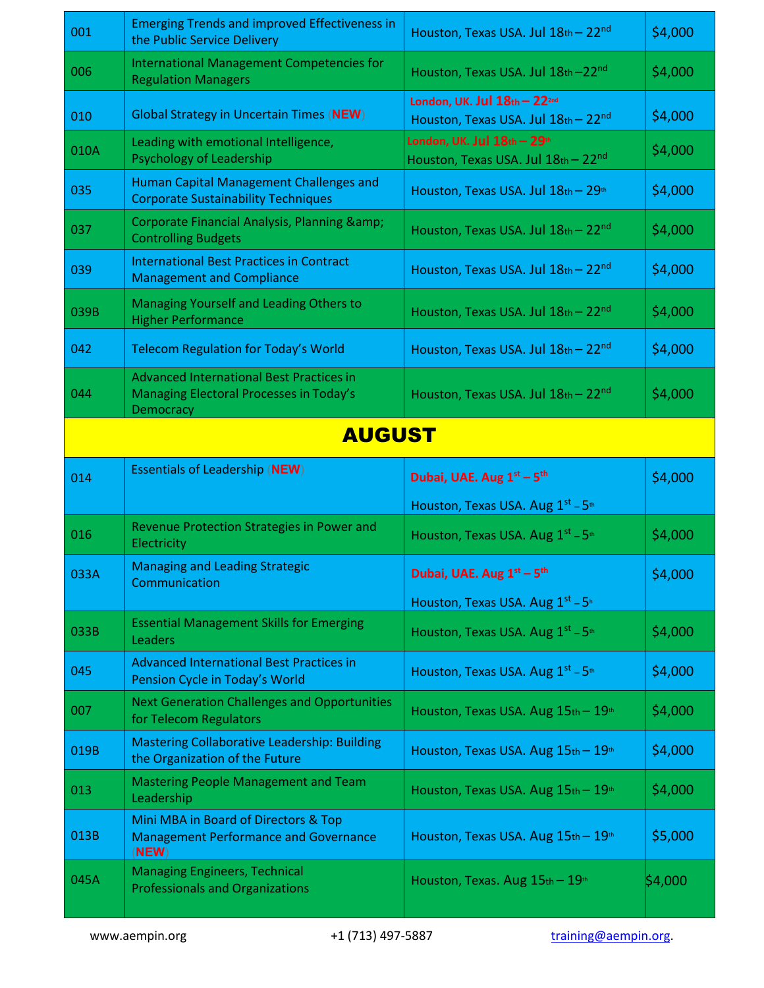| International Management Competencies for<br>006<br>Houston, Texas USA. Jul 18th - 22nd<br><b>Regulation Managers</b><br>London, UK. Jul 18th - 222nd<br><b>Global Strategy in Uncertain Times (NEW)</b><br>010<br>Houston, Texas USA. Jul 18th - 22nd<br>London, UK. Jul 18th - 29th<br>Leading with emotional Intelligence,<br>010A<br>Psychology of Leadership<br>Houston, Texas USA. Jul 18th - 22nd<br>Human Capital Management Challenges and<br>035<br>Houston, Texas USA. Jul 18th - 29th<br><b>Corporate Sustainability Techniques</b><br>Corporate Financial Analysis, Planning &<br>037<br>Houston, Texas USA. Jul $18th - 22nd$<br><b>Controlling Budgets</b><br><b>International Best Practices in Contract</b><br>039<br>Houston, Texas USA. Jul 18th - 22nd<br><b>Management and Compliance</b><br>Managing Yourself and Leading Others to<br>039B<br>Houston, Texas USA. Jul $18th - 22nd$<br><b>Higher Performance</b><br>042<br>Houston, Texas USA. Jul 18th - 22nd<br><b>Telecom Regulation for Today's World</b><br><b>Advanced International Best Practices in</b><br>044<br>Managing Electoral Processes in Today's<br>Houston, Texas USA. Jul 18th - 22nd<br>Democracy<br><b>AUGUST</b><br><b>Essentials of Leadership (NEW)</b><br>Dubai, UAE. Aug 1st - 5th<br>014<br>Houston, Texas USA. Aug 1st - 5th<br>Revenue Protection Strategies in Power and<br>016<br>Houston, Texas USA. Aug $1^{st}$ – 5 <sup>th</sup><br>Electricity<br><b>Managing and Leading Strategic</b><br>033A<br>Dubai, UAE. Aug 1st - 5th<br>Communication<br>Houston, Texas USA. Aug $1^{st}$ – $5^{h}$<br><b>Essential Management Skills for Emerging</b><br>033B<br>Houston, Texas USA. Aug 1st - 5th<br>Leaders<br><b>Advanced International Best Practices in</b><br>045<br>Houston, Texas USA. Aug 1st - 5th<br>Pension Cycle in Today's World<br><b>Next Generation Challenges and Opportunities</b><br>007<br>Houston, Texas USA. Aug 15th - 19th<br>for Telecom Regulators | 001  | <b>Emerging Trends and improved Effectiveness in</b><br>the Public Service Delivery           | Houston, Texas USA. Jul 18th - 22nd | \$4,000 |
|------------------------------------------------------------------------------------------------------------------------------------------------------------------------------------------------------------------------------------------------------------------------------------------------------------------------------------------------------------------------------------------------------------------------------------------------------------------------------------------------------------------------------------------------------------------------------------------------------------------------------------------------------------------------------------------------------------------------------------------------------------------------------------------------------------------------------------------------------------------------------------------------------------------------------------------------------------------------------------------------------------------------------------------------------------------------------------------------------------------------------------------------------------------------------------------------------------------------------------------------------------------------------------------------------------------------------------------------------------------------------------------------------------------------------------------------------------------------------------------------------------------------------------------------------------------------------------------------------------------------------------------------------------------------------------------------------------------------------------------------------------------------------------------------------------------------------------------------------------------------------------------------------------------------------------------------------------------------------------|------|-----------------------------------------------------------------------------------------------|-------------------------------------|---------|
|                                                                                                                                                                                                                                                                                                                                                                                                                                                                                                                                                                                                                                                                                                                                                                                                                                                                                                                                                                                                                                                                                                                                                                                                                                                                                                                                                                                                                                                                                                                                                                                                                                                                                                                                                                                                                                                                                                                                                                                    |      |                                                                                               |                                     | \$4,000 |
|                                                                                                                                                                                                                                                                                                                                                                                                                                                                                                                                                                                                                                                                                                                                                                                                                                                                                                                                                                                                                                                                                                                                                                                                                                                                                                                                                                                                                                                                                                                                                                                                                                                                                                                                                                                                                                                                                                                                                                                    |      |                                                                                               |                                     | \$4,000 |
|                                                                                                                                                                                                                                                                                                                                                                                                                                                                                                                                                                                                                                                                                                                                                                                                                                                                                                                                                                                                                                                                                                                                                                                                                                                                                                                                                                                                                                                                                                                                                                                                                                                                                                                                                                                                                                                                                                                                                                                    |      |                                                                                               |                                     | \$4,000 |
|                                                                                                                                                                                                                                                                                                                                                                                                                                                                                                                                                                                                                                                                                                                                                                                                                                                                                                                                                                                                                                                                                                                                                                                                                                                                                                                                                                                                                                                                                                                                                                                                                                                                                                                                                                                                                                                                                                                                                                                    |      |                                                                                               |                                     | \$4,000 |
|                                                                                                                                                                                                                                                                                                                                                                                                                                                                                                                                                                                                                                                                                                                                                                                                                                                                                                                                                                                                                                                                                                                                                                                                                                                                                                                                                                                                                                                                                                                                                                                                                                                                                                                                                                                                                                                                                                                                                                                    |      |                                                                                               |                                     | \$4,000 |
|                                                                                                                                                                                                                                                                                                                                                                                                                                                                                                                                                                                                                                                                                                                                                                                                                                                                                                                                                                                                                                                                                                                                                                                                                                                                                                                                                                                                                                                                                                                                                                                                                                                                                                                                                                                                                                                                                                                                                                                    |      |                                                                                               |                                     | \$4,000 |
|                                                                                                                                                                                                                                                                                                                                                                                                                                                                                                                                                                                                                                                                                                                                                                                                                                                                                                                                                                                                                                                                                                                                                                                                                                                                                                                                                                                                                                                                                                                                                                                                                                                                                                                                                                                                                                                                                                                                                                                    |      |                                                                                               |                                     | \$4,000 |
|                                                                                                                                                                                                                                                                                                                                                                                                                                                                                                                                                                                                                                                                                                                                                                                                                                                                                                                                                                                                                                                                                                                                                                                                                                                                                                                                                                                                                                                                                                                                                                                                                                                                                                                                                                                                                                                                                                                                                                                    |      |                                                                                               |                                     | \$4,000 |
|                                                                                                                                                                                                                                                                                                                                                                                                                                                                                                                                                                                                                                                                                                                                                                                                                                                                                                                                                                                                                                                                                                                                                                                                                                                                                                                                                                                                                                                                                                                                                                                                                                                                                                                                                                                                                                                                                                                                                                                    |      |                                                                                               |                                     | \$4,000 |
|                                                                                                                                                                                                                                                                                                                                                                                                                                                                                                                                                                                                                                                                                                                                                                                                                                                                                                                                                                                                                                                                                                                                                                                                                                                                                                                                                                                                                                                                                                                                                                                                                                                                                                                                                                                                                                                                                                                                                                                    |      |                                                                                               |                                     |         |
|                                                                                                                                                                                                                                                                                                                                                                                                                                                                                                                                                                                                                                                                                                                                                                                                                                                                                                                                                                                                                                                                                                                                                                                                                                                                                                                                                                                                                                                                                                                                                                                                                                                                                                                                                                                                                                                                                                                                                                                    |      |                                                                                               |                                     | \$4,000 |
|                                                                                                                                                                                                                                                                                                                                                                                                                                                                                                                                                                                                                                                                                                                                                                                                                                                                                                                                                                                                                                                                                                                                                                                                                                                                                                                                                                                                                                                                                                                                                                                                                                                                                                                                                                                                                                                                                                                                                                                    |      |                                                                                               |                                     |         |
|                                                                                                                                                                                                                                                                                                                                                                                                                                                                                                                                                                                                                                                                                                                                                                                                                                                                                                                                                                                                                                                                                                                                                                                                                                                                                                                                                                                                                                                                                                                                                                                                                                                                                                                                                                                                                                                                                                                                                                                    |      |                                                                                               |                                     | \$4,000 |
|                                                                                                                                                                                                                                                                                                                                                                                                                                                                                                                                                                                                                                                                                                                                                                                                                                                                                                                                                                                                                                                                                                                                                                                                                                                                                                                                                                                                                                                                                                                                                                                                                                                                                                                                                                                                                                                                                                                                                                                    |      |                                                                                               |                                     | \$4,000 |
|                                                                                                                                                                                                                                                                                                                                                                                                                                                                                                                                                                                                                                                                                                                                                                                                                                                                                                                                                                                                                                                                                                                                                                                                                                                                                                                                                                                                                                                                                                                                                                                                                                                                                                                                                                                                                                                                                                                                                                                    |      |                                                                                               |                                     |         |
|                                                                                                                                                                                                                                                                                                                                                                                                                                                                                                                                                                                                                                                                                                                                                                                                                                                                                                                                                                                                                                                                                                                                                                                                                                                                                                                                                                                                                                                                                                                                                                                                                                                                                                                                                                                                                                                                                                                                                                                    |      |                                                                                               |                                     | \$4,000 |
|                                                                                                                                                                                                                                                                                                                                                                                                                                                                                                                                                                                                                                                                                                                                                                                                                                                                                                                                                                                                                                                                                                                                                                                                                                                                                                                                                                                                                                                                                                                                                                                                                                                                                                                                                                                                                                                                                                                                                                                    |      |                                                                                               |                                     | \$4,000 |
|                                                                                                                                                                                                                                                                                                                                                                                                                                                                                                                                                                                                                                                                                                                                                                                                                                                                                                                                                                                                                                                                                                                                                                                                                                                                                                                                                                                                                                                                                                                                                                                                                                                                                                                                                                                                                                                                                                                                                                                    |      |                                                                                               |                                     | \$4,000 |
| 019B<br>Houston, Texas USA. Aug 15th - 19th<br>the Organization of the Future                                                                                                                                                                                                                                                                                                                                                                                                                                                                                                                                                                                                                                                                                                                                                                                                                                                                                                                                                                                                                                                                                                                                                                                                                                                                                                                                                                                                                                                                                                                                                                                                                                                                                                                                                                                                                                                                                                      |      | <b>Mastering Collaborative Leadership: Building</b>                                           |                                     | \$4,000 |
| <b>Mastering People Management and Team</b>                                                                                                                                                                                                                                                                                                                                                                                                                                                                                                                                                                                                                                                                                                                                                                                                                                                                                                                                                                                                                                                                                                                                                                                                                                                                                                                                                                                                                                                                                                                                                                                                                                                                                                                                                                                                                                                                                                                                        | 013  | Leadership                                                                                    | Houston, Texas USA. Aug 15th - 19th | \$4,000 |
|                                                                                                                                                                                                                                                                                                                                                                                                                                                                                                                                                                                                                                                                                                                                                                                                                                                                                                                                                                                                                                                                                                                                                                                                                                                                                                                                                                                                                                                                                                                                                                                                                                                                                                                                                                                                                                                                                                                                                                                    | 013B | Mini MBA in Board of Directors & Top<br><b>Management Performance and Governance</b><br>(NEW) | Houston, Texas USA. Aug 15th - 19th | \$5,000 |
|                                                                                                                                                                                                                                                                                                                                                                                                                                                                                                                                                                                                                                                                                                                                                                                                                                                                                                                                                                                                                                                                                                                                                                                                                                                                                                                                                                                                                                                                                                                                                                                                                                                                                                                                                                                                                                                                                                                                                                                    |      | <b>Managing Engineers, Technical</b>                                                          |                                     |         |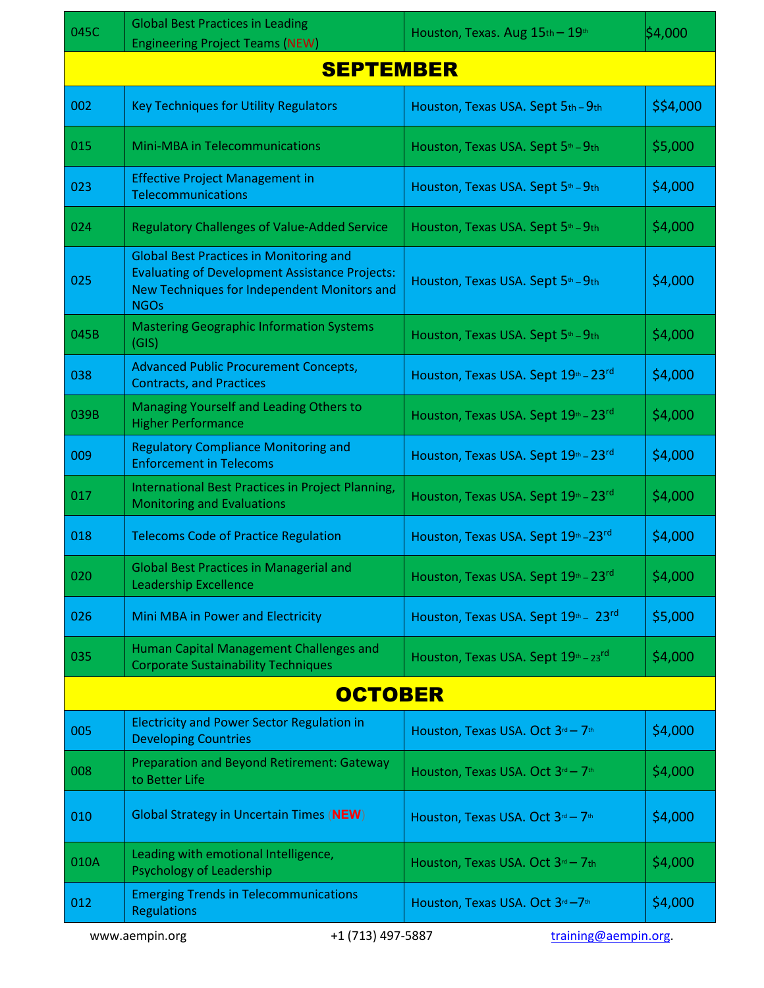| \$4,000<br>Houston, Texas. Aug 15th - 19th<br><b>Engineering Project Teams (NEW)</b><br><b>SEPTEMBER</b><br>002<br>\$\$4,000<br><b>Key Techniques for Utility Regulators</b><br>Houston, Texas USA. Sept 5th - 9th<br>015<br>\$5,000<br>Mini-MBA in Telecommunications<br>Houston, Texas USA. Sept 5th - 9th |
|--------------------------------------------------------------------------------------------------------------------------------------------------------------------------------------------------------------------------------------------------------------------------------------------------------------|
|                                                                                                                                                                                                                                                                                                              |
|                                                                                                                                                                                                                                                                                                              |
|                                                                                                                                                                                                                                                                                                              |
|                                                                                                                                                                                                                                                                                                              |
| <b>Effective Project Management in</b><br>023<br>\$4,000<br>Houston, Texas USA. Sept 5th - 9th<br>Telecommunications                                                                                                                                                                                         |
| \$4,000<br>024<br><b>Regulatory Challenges of Value-Added Service</b><br>Houston, Texas USA. Sept 5th - 9th                                                                                                                                                                                                  |
| <b>Global Best Practices in Monitoring and</b><br><b>Evaluating of Development Assistance Projects:</b><br>025<br>\$4,000<br>Houston, Texas USA. Sept 5 <sup>th</sup> - 9th<br>New Techniques for Independent Monitors and<br><b>NGOs</b>                                                                    |
| <b>Mastering Geographic Information Systems</b><br>045B<br>\$4,000<br>Houston, Texas USA. Sept 5th - 9th<br>(GIS)                                                                                                                                                                                            |
| <b>Advanced Public Procurement Concepts,</b><br>038<br>Houston, Texas USA. Sept 19th - 23rd<br>\$4,000<br><b>Contracts, and Practices</b>                                                                                                                                                                    |
| Managing Yourself and Leading Others to<br>039B<br>\$4,000<br>Houston, Texas USA. Sept 19th - 23rd<br><b>Higher Performance</b>                                                                                                                                                                              |
| <b>Regulatory Compliance Monitoring and</b><br>009<br>Houston, Texas USA. Sept 19th - 23rd<br>\$4,000<br><b>Enforcement in Telecoms</b>                                                                                                                                                                      |
| International Best Practices in Project Planning,<br>\$4,000<br>017<br>Houston, Texas USA. Sept 19th - 23rd<br><b>Monitoring and Evaluations</b>                                                                                                                                                             |
| 018<br>\$4,000<br><b>Telecoms Code of Practice Regulation</b><br>Houston, Texas USA. Sept 19th - 23rd                                                                                                                                                                                                        |
| <b>Global Best Practices in Managerial and</b><br>Houston, Texas USA. Sept 19th - 23rd<br>\$4,000<br>020<br><b>Leadership Excellence</b>                                                                                                                                                                     |
| \$5,000<br>026<br>Mini MBA in Power and Electricity<br>Houston, Texas USA. Sept 19th - 23rd                                                                                                                                                                                                                  |
| Human Capital Management Challenges and<br>Houston, Texas USA. Sept $19th - 23rd$<br>\$4,000<br>035<br><b>Corporate Sustainability Techniques</b>                                                                                                                                                            |
| <b>OCTOBER</b>                                                                                                                                                                                                                                                                                               |
| <b>Electricity and Power Sector Regulation in</b><br>005<br>\$4,000<br>Houston, Texas USA. Oct 3rd - 7th<br><b>Developing Countries</b>                                                                                                                                                                      |
| Preparation and Beyond Retirement: Gateway<br>\$4,000<br>008<br>Houston, Texas USA. Oct 3rd - 7th<br>to Better Life                                                                                                                                                                                          |
| <b>Global Strategy in Uncertain Times (NEW)</b><br>010<br>\$4,000<br>Houston, Texas USA. Oct 3rd - 7th                                                                                                                                                                                                       |
| Leading with emotional Intelligence,<br>010A<br>\$4,000<br>Houston, Texas USA. Oct 3rd - 7th<br>Psychology of Leadership                                                                                                                                                                                     |
| <b>Emerging Trends in Telecommunications</b><br>012<br>\$4,000<br>Houston, Texas USA. Oct 3rd-7th<br><b>Regulations</b>                                                                                                                                                                                      |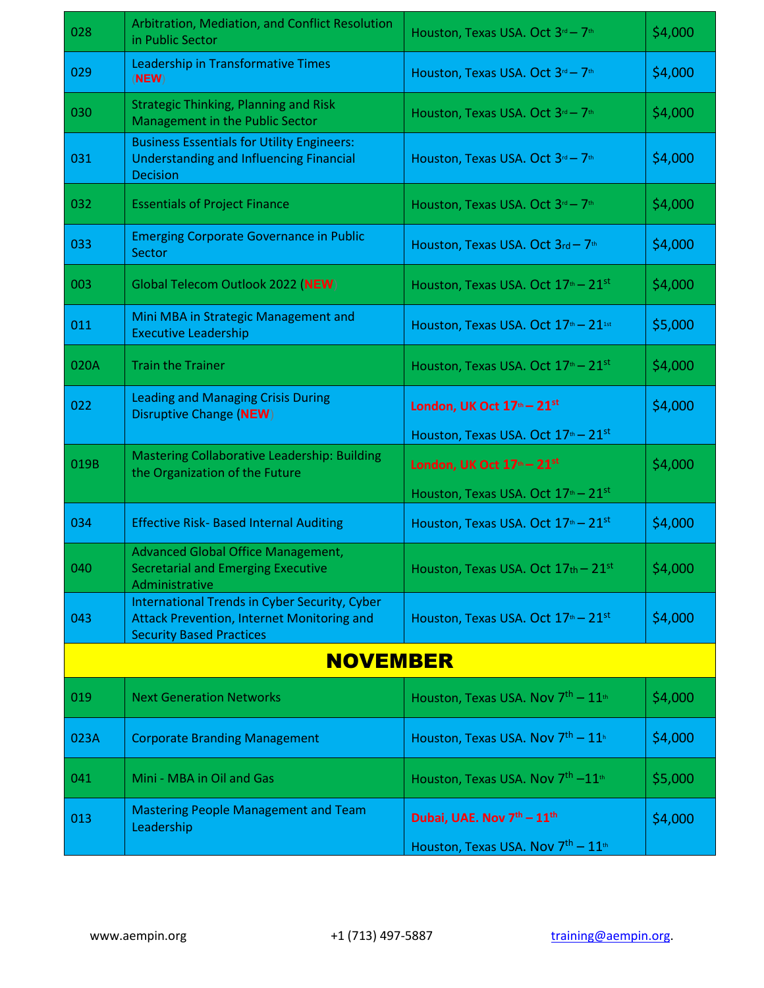| 028  | Arbitration, Mediation, and Conflict Resolution<br>in Public Sector                                                                   | Houston, Texas USA. Oct 3rd - 7th                                                                              | \$4,000 |  |
|------|---------------------------------------------------------------------------------------------------------------------------------------|----------------------------------------------------------------------------------------------------------------|---------|--|
| 029  | Leadership in Transformative Times<br>(NEW)                                                                                           | Houston, Texas USA. Oct 3rd - 7th                                                                              | \$4,000 |  |
| 030  | <b>Strategic Thinking, Planning and Risk</b><br>Management in the Public Sector                                                       | Houston, Texas USA. Oct 3rd - 7th                                                                              | \$4,000 |  |
| 031  | <b>Business Essentials for Utility Engineers:</b><br><b>Understanding and Influencing Financial</b><br><b>Decision</b>                | Houston, Texas USA. Oct 3rd - 7th                                                                              | \$4,000 |  |
| 032  | <b>Essentials of Project Finance</b>                                                                                                  | Houston, Texas USA. Oct 3rd - 7th                                                                              | \$4,000 |  |
| 033  | <b>Emerging Corporate Governance in Public</b><br>Sector                                                                              | Houston, Texas USA. Oct 3rd - 7th                                                                              | \$4,000 |  |
| 003  | Global Telecom Outlook 2022 (NEW)                                                                                                     | Houston, Texas USA. Oct 17 <sup>th</sup> - 21 <sup>st</sup>                                                    | \$4,000 |  |
| 011  | Mini MBA in Strategic Management and<br><b>Executive Leadership</b>                                                                   | Houston, Texas USA. Oct 17th - 21st                                                                            | \$5,000 |  |
| 020A | <b>Train the Trainer</b>                                                                                                              | Houston, Texas USA. Oct 17 <sup>th</sup> - 21 <sup>st</sup>                                                    | \$4,000 |  |
| 022  | <b>Leading and Managing Crisis During</b><br><b>Disruptive Change (NEW)</b>                                                           | London, UK Oct 17th - 21st                                                                                     | \$4,000 |  |
| 019B | <b>Mastering Collaborative Leadership: Building</b><br>the Organization of the Future                                                 | Houston, Texas USA. Oct $17th - 21st$<br>London, UK Oct $17th - 21st$<br>Houston, Texas USA. Oct $17th - 21st$ | \$4,000 |  |
| 034  | <b>Effective Risk- Based Internal Auditing</b>                                                                                        | Houston, Texas USA. Oct 17th - 21st                                                                            | \$4,000 |  |
| 040  | <b>Advanced Global Office Management,</b><br><b>Secretarial and Emerging Executive</b><br>Administrative                              | Houston, Texas USA. Oct $17th - 21st$                                                                          | \$4,000 |  |
| 043  | International Trends in Cyber Security, Cyber<br><b>Attack Prevention, Internet Monitoring and</b><br><b>Security Based Practices</b> | Houston, Texas USA. Oct 17 <sup>th</sup> - 21 <sup>st</sup>                                                    | \$4,000 |  |
|      | <b>NOVEMBER</b>                                                                                                                       |                                                                                                                |         |  |
| 019  | <b>Next Generation Networks</b>                                                                                                       | Houston, Texas USA. Nov 7 <sup>th</sup> - 11 <sup>th</sup>                                                     | \$4,000 |  |
| 023A | <b>Corporate Branding Management</b>                                                                                                  | Houston, Texas USA. Nov $7th - 11h$                                                                            | \$4,000 |  |
| 041  | Mini - MBA in Oil and Gas                                                                                                             | Houston, Texas USA. Nov 7 <sup>th</sup> -11 <sup>th</sup>                                                      | \$5,000 |  |
| 013  | <b>Mastering People Management and Team</b><br>Leadership                                                                             | Dubai, UAE. Nov 7th - 11th                                                                                     | \$4,000 |  |
|      |                                                                                                                                       | Houston, Texas USA. Nov $7th - 11th$                                                                           |         |  |